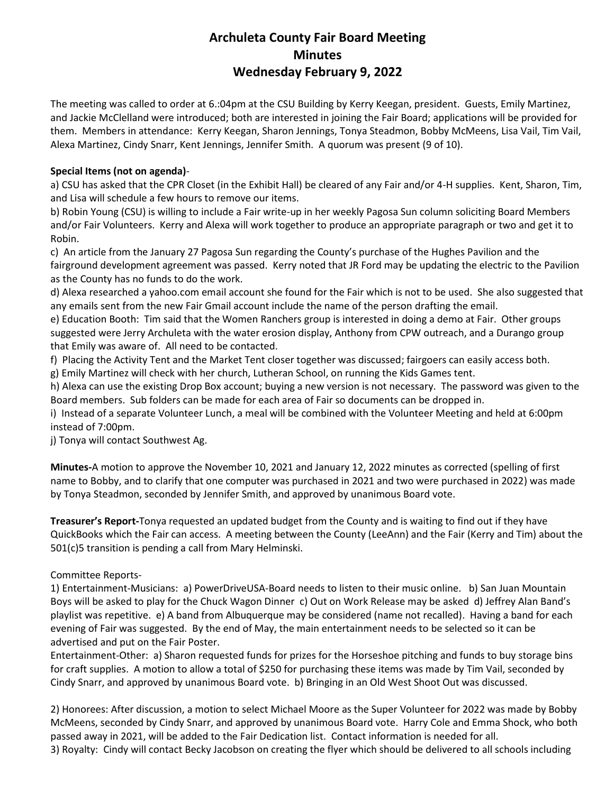## **Archuleta County Fair Board Meeting Minutes Wednesday February 9, 2022**

The meeting was called to order at 6.:04pm at the CSU Building by Kerry Keegan, president. Guests, Emily Martinez, and Jackie McClelland were introduced; both are interested in joining the Fair Board; applications will be provided for them. Members in attendance: Kerry Keegan, Sharon Jennings, Tonya Steadmon, Bobby McMeens, Lisa Vail, Tim Vail, Alexa Martinez, Cindy Snarr, Kent Jennings, Jennifer Smith. A quorum was present (9 of 10).

## **Special Items (not on agenda)**-

a) CSU has asked that the CPR Closet (in the Exhibit Hall) be cleared of any Fair and/or 4-H supplies. Kent, Sharon, Tim, and Lisa will schedule a few hours to remove our items.

b) Robin Young (CSU) is willing to include a Fair write-up in her weekly Pagosa Sun column soliciting Board Members and/or Fair Volunteers. Kerry and Alexa will work together to produce an appropriate paragraph or two and get it to Robin.

c) An article from the January 27 Pagosa Sun regarding the County's purchase of the Hughes Pavilion and the fairground development agreement was passed. Kerry noted that JR Ford may be updating the electric to the Pavilion as the County has no funds to do the work.

d) Alexa researched a yahoo.com email account she found for the Fair which is not to be used. She also suggested that any emails sent from the new Fair Gmail account include the name of the person drafting the email.

e) Education Booth: Tim said that the Women Ranchers group is interested in doing a demo at Fair. Other groups suggested were Jerry Archuleta with the water erosion display, Anthony from CPW outreach, and a Durango group that Emily was aware of. All need to be contacted.

f) Placing the Activity Tent and the Market Tent closer together was discussed; fairgoers can easily access both.

g) Emily Martinez will check with her church, Lutheran School, on running the Kids Games tent.

h) Alexa can use the existing Drop Box account; buying a new version is not necessary. The password was given to the Board members. Sub folders can be made for each area of Fair so documents can be dropped in.

i) Instead of a separate Volunteer Lunch, a meal will be combined with the Volunteer Meeting and held at 6:00pm instead of 7:00pm.

j) Tonya will contact Southwest Ag.

**Minutes-**A motion to approve the November 10, 2021 and January 12, 2022 minutes as corrected (spelling of first name to Bobby, and to clarify that one computer was purchased in 2021 and two were purchased in 2022) was made by Tonya Steadmon, seconded by Jennifer Smith, and approved by unanimous Board vote.

**Treasurer's Report-**Tonya requested an updated budget from the County and is waiting to find out if they have QuickBooks which the Fair can access. A meeting between the County (LeeAnn) and the Fair (Kerry and Tim) about the 501(c)5 transition is pending a call from Mary Helminski.

## Committee Reports-

1) Entertainment-Musicians: a) PowerDriveUSA-Board needs to listen to their music online. b) San Juan Mountain Boys will be asked to play for the Chuck Wagon Dinner c) Out on Work Release may be asked d) Jeffrey Alan Band's playlist was repetitive. e) A band from Albuquerque may be considered (name not recalled). Having a band for each evening of Fair was suggested. By the end of May, the main entertainment needs to be selected so it can be advertised and put on the Fair Poster.

Entertainment-Other: a) Sharon requested funds for prizes for the Horseshoe pitching and funds to buy storage bins for craft supplies. A motion to allow a total of \$250 for purchasing these items was made by Tim Vail, seconded by Cindy Snarr, and approved by unanimous Board vote. b) Bringing in an Old West Shoot Out was discussed.

2) Honorees: After discussion, a motion to select Michael Moore as the Super Volunteer for 2022 was made by Bobby McMeens, seconded by Cindy Snarr, and approved by unanimous Board vote. Harry Cole and Emma Shock, who both passed away in 2021, will be added to the Fair Dedication list. Contact information is needed for all. 3) Royalty: Cindy will contact Becky Jacobson on creating the flyer which should be delivered to all schools including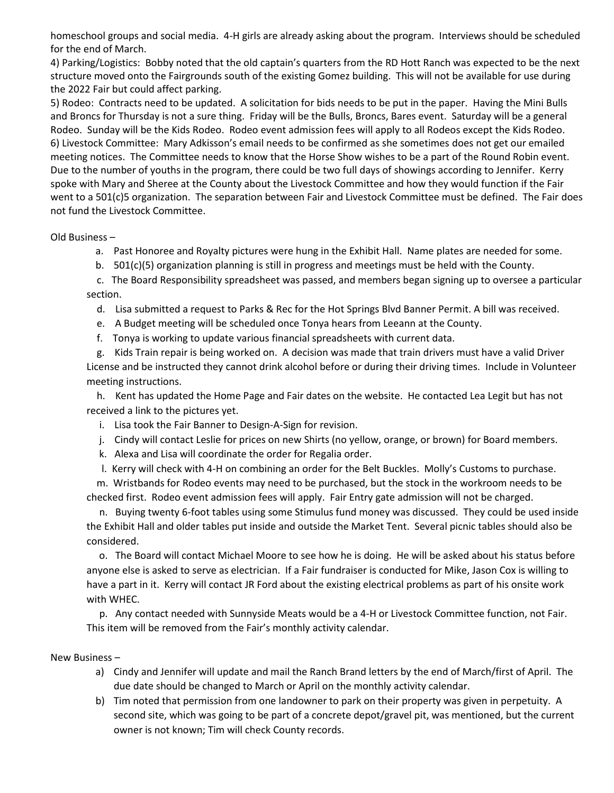homeschool groups and social media. 4-H girls are already asking about the program. Interviews should be scheduled for the end of March.

4) Parking/Logistics: Bobby noted that the old captain's quarters from the RD Hott Ranch was expected to be the next structure moved onto the Fairgrounds south of the existing Gomez building. This will not be available for use during the 2022 Fair but could affect parking.

5) Rodeo: Contracts need to be updated. A solicitation for bids needs to be put in the paper. Having the Mini Bulls and Broncs for Thursday is not a sure thing. Friday will be the Bulls, Broncs, Bares event. Saturday will be a general Rodeo. Sunday will be the Kids Rodeo. Rodeo event admission fees will apply to all Rodeos except the Kids Rodeo. 6) Livestock Committee: Mary Adkisson's email needs to be confirmed as she sometimes does not get our emailed meeting notices. The Committee needs to know that the Horse Show wishes to be a part of the Round Robin event. Due to the number of youths in the program, there could be two full days of showings according to Jennifer. Kerry spoke with Mary and Sheree at the County about the Livestock Committee and how they would function if the Fair went to a 501(c)5 organization. The separation between Fair and Livestock Committee must be defined. The Fair does not fund the Livestock Committee.

Old Business –

- a. Past Honoree and Royalty pictures were hung in the Exhibit Hall. Name plates are needed for some.
- b. 501(c)(5) organization planning is still in progress and meetings must be held with the County.

 c. The Board Responsibility spreadsheet was passed, and members began signing up to oversee a particular section.

- d. Lisa submitted a request to Parks & Rec for the Hot Springs Blvd Banner Permit. A bill was received.
- e. A Budget meeting will be scheduled once Tonya hears from Leeann at the County.
- f. Tonya is working to update various financial spreadsheets with current data.

 g. Kids Train repair is being worked on. A decision was made that train drivers must have a valid Driver License and be instructed they cannot drink alcohol before or during their driving times. Include in Volunteer meeting instructions.

 h. Kent has updated the Home Page and Fair dates on the website. He contacted Lea Legit but has not received a link to the pictures yet.

- i. Lisa took the Fair Banner to Design-A-Sign for revision.
- j. Cindy will contact Leslie for prices on new Shirts (no yellow, orange, or brown) for Board members.
- k. Alexa and Lisa will coordinate the order for Regalia order.
- l. Kerry will check with 4-H on combining an order for the Belt Buckles. Molly's Customs to purchase.

 m. Wristbands for Rodeo events may need to be purchased, but the stock in the workroom needs to be checked first. Rodeo event admission fees will apply. Fair Entry gate admission will not be charged.

 n. Buying twenty 6-foot tables using some Stimulus fund money was discussed. They could be used inside the Exhibit Hall and older tables put inside and outside the Market Tent. Several picnic tables should also be considered.

 o. The Board will contact Michael Moore to see how he is doing. He will be asked about his status before anyone else is asked to serve as electrician. If a Fair fundraiser is conducted for Mike, Jason Cox is willing to have a part in it. Kerry will contact JR Ford about the existing electrical problems as part of his onsite work with WHEC.

 p. Any contact needed with Sunnyside Meats would be a 4-H or Livestock Committee function, not Fair. This item will be removed from the Fair's monthly activity calendar.

## New Business –

- a) Cindy and Jennifer will update and mail the Ranch Brand letters by the end of March/first of April. The due date should be changed to March or April on the monthly activity calendar.
- b) Tim noted that permission from one landowner to park on their property was given in perpetuity. A second site, which was going to be part of a concrete depot/gravel pit, was mentioned, but the current owner is not known; Tim will check County records.